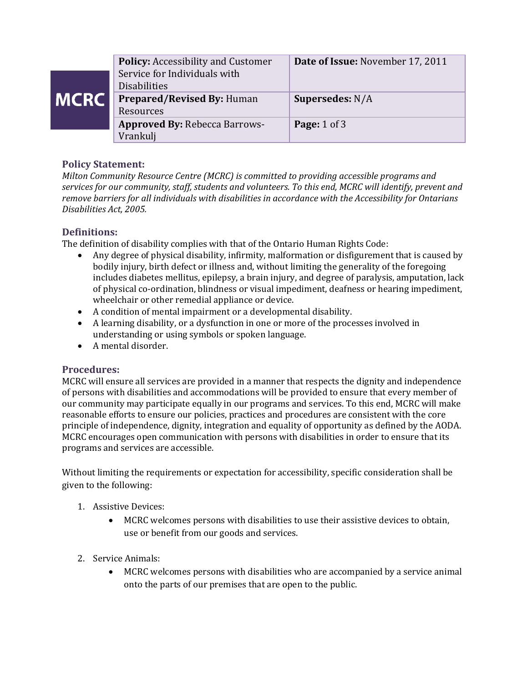|             | <b>Policy: Accessibility and Customer</b><br>Service for Individuals with<br><b>Disabilities</b> | Date of Issue: November 17, 2011 |
|-------------|--------------------------------------------------------------------------------------------------|----------------------------------|
| <b>MCRC</b> | Prepared/Revised By: Human<br>Resources                                                          | <b>Supersedes: N/A</b>           |
|             | <b>Approved By: Rebecca Barrows-</b><br>Vrankulj                                                 | <b>Page:</b> 1 of 3              |

## **Policy Statement:**

*Milton Community Resource Centre (MCRC) is committed to providing accessible programs and services for our community, staff, students and volunteers. To this end, MCRC will identify, prevent and remove barriers for all individuals with disabilities in accordance with the Accessibility for Ontarians Disabilities Act, 2005.* 

## **Definitions:**

The definition of disability complies with that of the Ontario Human Rights Code:

- Any degree of physical disability, infirmity, malformation or disfigurement that is caused by bodily injury, birth defect or illness and, without limiting the generality of the foregoing includes diabetes mellitus, epilepsy, a brain injury, and degree of paralysis, amputation, lack of physical co-ordination, blindness or visual impediment, deafness or hearing impediment, wheelchair or other remedial appliance or device.
- A condition of mental impairment or a developmental disability.
- A learning disability, or a dysfunction in one or more of the processes involved in understanding or using symbols or spoken language.
- A mental disorder.

## **Procedures:**

MCRC will ensure all services are provided in a manner that respects the dignity and independence of persons with disabilities and accommodations will be provided to ensure that every member of our community may participate equally in our programs and services. To this end, MCRC will make reasonable efforts to ensure our policies, practices and procedures are consistent with the core principle of independence, dignity, integration and equality of opportunity as defined by the AODA. MCRC encourages open communication with persons with disabilities in order to ensure that its programs and services are accessible.

Without limiting the requirements or expectation for accessibility, specific consideration shall be given to the following:

- 1. Assistive Devices:
	- MCRC welcomes persons with disabilities to use their assistive devices to obtain, use or benefit from our goods and services.
- 2. Service Animals:
	- MCRC welcomes persons with disabilities who are accompanied by a service animal onto the parts of our premises that are open to the public.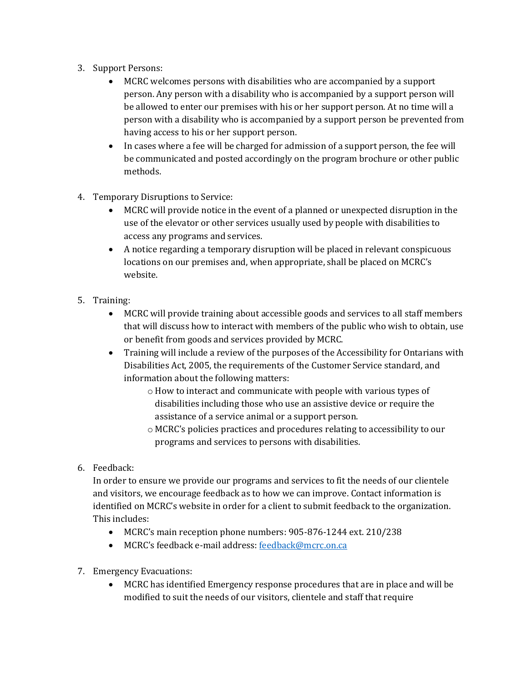- 3. Support Persons:
	- MCRC welcomes persons with disabilities who are accompanied by a support person. Any person with a disability who is accompanied by a support person will be allowed to enter our premises with his or her support person. At no time will a person with a disability who is accompanied by a support person be prevented from having access to his or her support person.
	- In cases where a fee will be charged for admission of a support person, the fee will be communicated and posted accordingly on the program brochure or other public methods.
- 4. Temporary Disruptions to Service:
	- MCRC will provide notice in the event of a planned or unexpected disruption in the use of the elevator or other services usually used by people with disabilities to access any programs and services.
	- A notice regarding a temporary disruption will be placed in relevant conspicuous locations on our premises and, when appropriate, shall be placed on MCRC's website.
- 5. Training:
	- MCRC will provide training about accessible goods and services to all staff members that will discuss how to interact with members of the public who wish to obtain, use or benefit from goods and services provided by MCRC.
	- Training will include a review of the purposes of the Accessibility for Ontarians with Disabilities Act, 2005, the requirements of the Customer Service standard, and information about the following matters:
		- o How to interact and communicate with people with various types of disabilities including those who use an assistive device or require the assistance of a service animal or a support person.
		- o MCRC's policies practices and procedures relating to accessibility to our programs and services to persons with disabilities.
- 6. Feedback:

In order to ensure we provide our programs and services to fit the needs of our clientele and visitors, we encourage feedback as to how we can improve. Contact information is identified on MCRC's website in order for a client to submit feedback to the organization. This includes:

- MCRC's main reception phone numbers: 905-876-1244 ext. 210/238
- MCRC's feedback e-mail address[: feedback@mcrc.on.ca](mailto:feedback@mcrc.on.ca)
- 7. Emergency Evacuations:
	- MCRC has identified Emergency response procedures that are in place and will be modified to suit the needs of our visitors, clientele and staff that require